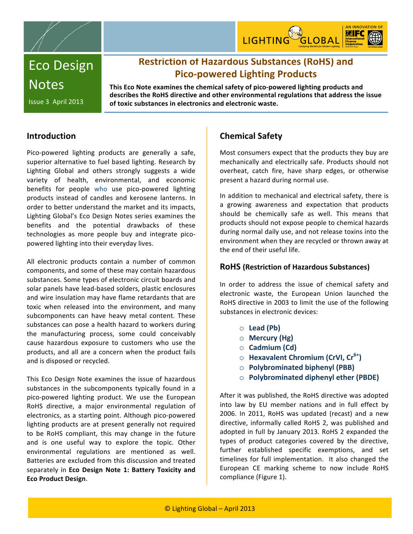



# Eco
Design **Notes**

## **Restriction
of
Hazardous
Substances
(RoHS)
and Pico‐powered
Lighting
Products**

This Eco Note examines the chemical safety of pico-powered lighting products and describes the RoHS directive and other environmental regulations that address the issue **of
toxic
substances
in
electronics
and
electronic
waste.**

### **Introduction**

Issue
3

April
2013

Pico-powered lighting products are generally a safe, superior alternative to fuel based lighting. Research by Lighting Global and others strongly suggests a wide variety
 of
 health,
 environmental,
 and
 economic benefits
 for
 people who
 use pico‐powered
 lighting products
 instead
 of
 candles
 and
 kerosene
 lanterns.
 In order
to
better
understand
the
market
and
its
impacts, Lighting
Global's
Eco
Design
Notes
series
examines
 the benefits
 and the
 potential
 drawbacks
 of
 these technologies
 as
 more
 people
 buy
 and
 integrate pico‐ powered
lighting
into
their
everyday
lives.

All electronic products contain a number of common components,
and
some
of
these
may
contain
hazardous substances.
Some
types
of
electronic
circuit
boards
and solar
panels
have
lead‐based
solders,
plastic
enclosures and
wire
insulation
may
have
flame
retardants
that
are toxic when released into the environment, and many subcomponents can have heavy metal content. These substances
can
pose
a
health
hazard
to
workers
during the
 manufacturing
 process,
 some
 could
 conceivably cause
 hazardous
 exposure
 to
 customers
 who
 use
 the products,
and
all
are
a
concern
when
 the
product
 fails and
is
disposed
or
recycled.

This
Eco
Design
Note
examines
 the
issue
 of
 hazardous substances in the subcomponents typically found in a pico‐powered
 lighting
 product. We
 use
 the
 European RoHS
 directive,
 a
 major
 environmental
 regulation
 of electronics,
as
a
starting
point.
Although
pico‐powered lighting products are at present generally not required to
 be RoHS
 compliant,
 this may
 change
 in
 the
 future and is
 one
 useful
 way
 to
 explore
 the
 topic.
 Other environmental regulations are mentioned as well. Batteries
are
excluded
from
this
discussion
and
treated separately
 in **Eco
 Design
 Note
 1: Battery Toxicity
 and Eco
Product
Design**.

### **Chemical
Safety**

Most
consumers
expect
that
the
products
they
buy
are mechanically and electrically safe. Products should not overheat,
 catch
 fire,
 have
 sharp
 edges,
 or
 otherwise present
a
hazard
during
normal
use.

In addition to mechanical and electrical safety, there is a growing awareness and expectation that products should be chemically safe as well. This means that products
should
not
expose
people
to
chemical
hazards during normal daily use, and not release toxins into the environment when they are recycled or thrown away at the end of their useful life.

#### **RoHS
(Restriction
of
Hazardous
Substances)**

In
 order
 to
 address
 the issue
 of chemical
 safety
 and electronic
 waste,
 the
 European
 Union launched
 the RoHS directive in 2003 to limit the use of the following substances in electronic devices:

- o **Lead
(Pb)**
- o **Mercury
(Hg)**
- o **Cadmium
(Cd)**
- o **Hexavalent
Chromium (CrVI,
Cr6+)**
- o **Polybrominated
biphenyl
(PBB)**
- o **Polybrominated
diphenyl
ether
(PBDE)**

After
it
was
published,
the
RoHS
directive
was
adopted into law by EU member nations and in full effect by 2006. In 2011, RoHS was updated (recast) and a new directive, informally called RoHS 2, was published and adopted
in
 full
by
 January
2013.
RoHS
2
expanded
 the types of product categories covered by the directive, further established specific exemptions, and set timelines for full implementation. It also changed the European CE marking scheme to now include RoHS compliance
(Figure
1).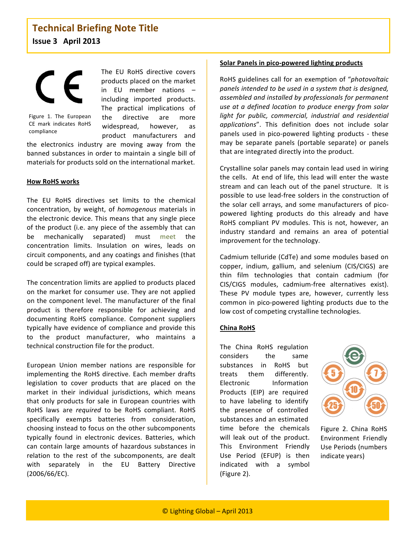Figure
 1.
 The
 European CE
 mark
 indicates
 RoHS compliance

The EU RoHS directive covers products
placed
on
the
market in
 EU
 member
 nations – including
 imported
 products. The
 practical
 implications
 of the
 directive
 are
 more widespread,
 however,
 as product
 manufacturers
 and

the
 electronics
 industry
 are
 moving
 away
 from
 the banned
substances
in
order
 to
maintain
a
single
bill
of materials
for
products
sold
on
the
international
market.

#### **How
RoHS
works**

The EU RoHS directives set limits to the chemical concentration,
 by
 weight,
 of *homogenous* materials
 in the
electronic
device.
This
means
 that
any
single
piece of
 the
product
 (i.e.
any
piece
of
 the
assembly
 that
can be
 mechanically
 separated)
 must meet
 the concentration limits. Insulation on wires, leads on circuit
components,
and
any
coatings
and
finishes
(that could
be
scraped
off)
are
typical
examples.

The
concentration
limits
are
applied
to
products
placed on
 the
market
 for
consumer
use.
They
are
not
applied on
 the
component
level.
The
manufacturer
of
 the
 final product
 is
 therefore
 responsible
 for
 achieving
 and documenting
 RoHS
 compliance.
 Component
 suppliers typically
have
evidence
of
compliance
and
provide
 this to
 the
 product
 manufacturer,
 who
 maintains
 a technical
construction
file
for
the
product.

European
 Union
 member
 nations
 are
 responsible
 for implementing the RoHS directive. Each member drafts legislation to cover products that are placed on the market in their individual jurisdictions, which means that
 only
 products
 for
 sale
 in
European
 countries
with RoHS laws are *required* to be RoHS compliant. RoHS specifically
 exempts
 batteries
 from
 consideration, choosing
instead
to
focus
on
the
other
subcomponents typically
 found
 in
 electronic
 devices.
 Batteries,
 which can
 contain
 large
 amounts
 of
 hazardous
 substances
 in relation to the rest of the subcomponents, are dealt with
 separately
 in
 the
 EU
 Battery
 Directive (2006/66/EC).

#### **Solar
Panels
in
pico‐powered
lighting
products**

RoHS
guidelines
call
 for
an
exemption
of
"*photovoltaic panels
intended
to
be
used
in
a
system
that
is
designed, assembled
and
installed
by
professionals
for
permanent use
at
a
defined
location
 to
produce
energy
 from
solar*  light for public, commercial, industrial and residential applications". This definition does not include solar panels used in pico-powered lighting products - these may
 be
 separate
 panels
 (portable
 separate)
 or
 panels that
are
integrated
directly
into
the
product.

Crystalline
solar
panels may
contain
lead
used
in
wiring the cells. At end of life, this lead will enter the waste stream and can leach out of the panel structure. It is possible
 to
use
lead‐free
solders
in
 the
construction
of the
 solar
 cell
arrays,
 and
 some
manufacturers
 of
pico‐ powered
 lighting
 products
 do
 this
 already
 and
 have RoHS compliant PV modules. This is not, however, an industry standard and remains an area of potential improvement
for
the
technology.

Cadmium
telluride
 (CdTe)
and
some
modules
based
on copper, indium, gallium, and selenium (CIS/CIGS) are thin
 film
 technologies
 that
 contain
 cadmium
 (for CIS/CIGS
 modules,
 cadmium‐free
 alternatives
 exist). These PV module types are, however, currently less common
 in
 pico‐powered
 lighting
 products
 due
 to
 the low
cost
of
competing
crystalline
technologies.

#### **China
RoHS**

The
 China
 RoHS
 regulation considers
 the same substances in RoHS but treats
 them
 differently. Electronic
 Information Products
 (EIP)
 are
 required to
 have
 labeling to
 identify the
 presence
 of
 controlled substances
and
an
estimated time before the chemicals will leak out of the product. This
 Environment
 Friendly Use
 Period
 (EFUP)
 is
 then indicated
 with
 a
 symbol (Figure
2).



Figure
 2.
 China
 RoHS Environment
 Friendly Use
Periods
(numbers indicate
years)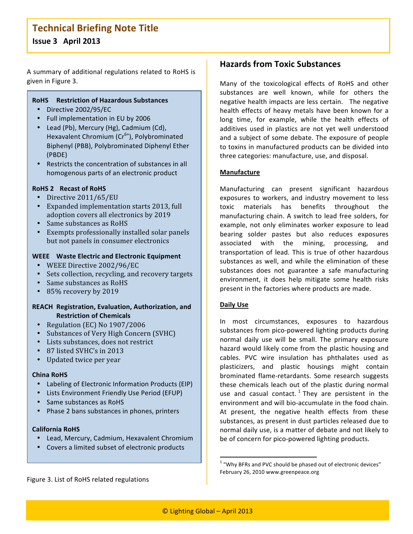### **Technical
Briefing
Note
Title Issue
3

April
2013**

A
summary
of
additional
regulations
related
to
RoHS
is given
in
Figure
3.

#### **RoHS Restriction
of
Hazardous
Substances**

- Directive
2002/95/EC
- Full
implementation
in
EU
by
2006
- Lead (Pb), Mercury (Hg), Cadmium (Cd), Hexavalent Chromium (Cr<sup>6+</sup>), Polybrominated Biphenyl
(PBB),
Polybrominated
Diphenyl
Ether (PBDE)
- Restricts the concentration of substances in all homogenous
parts
of
an
electronic
product

#### **RoHS
2 Recast
of
RoHS**

- Directive
2011/65/EU
- Expanded
implementation
starts
2013,
full adoption
covers
all
electronics
by
2019
- Same substances as RoHS
- Exempts
professionally
installed
solar
panels but
not
panels
in
consumer
electronics

#### WEEE Waste Electric and Electronic Equipment

- WEEE
Directive
2002/96/EC
- Sets
collection,
recycling,
and
recovery
targets
- Same substances as RoHS
- 85%
recovery
by
2019

#### **REACH Registration,
Evaluation,
Authorization,
and Restriction
of
Chemicals**

- Regulation (EC) No 1907/2006
- Substances of Very High Concern (SVHC)
- Lists
substances,
does
not
restrict
- 87 listed SVHC's in 2013
- Updated
twice
per
year

#### **China
RoHS**

- Labeling of Electronic Information Products (EIP)
- Lists
Environment
Friendly
Use
Period
(EFUP)
- Same substances as RoHS
- Phase 2 bans substances in phones, printers

#### **California
RoHS**

- Lead, Mercury, Cadmium, Hexavalent Chromium
- Covers
a
limited
subset
of
electronic
products

Figure
3.
List
of
RoHS
related
regulations

### **Hazards
from
Toxic
Substances**

Many
 of
 the
 toxicological
 effects
 of RoHS
 and
 other substances
 are
 well
 known,
 while
 for
 others
 the negative
health
impacts
are
less
certain. The
negative health effects of heavy metals have been known for a long time, for example, while the health effects of additives used in plastics are not yet well understood and
a
subject
of
some
debate.
The
exposure
of
people to
toxins
in
manufactured
products
can
be
divided
into three
categories:
manufacture,
use,
and
disposal.

#### **Manufacture**

Manufacturing
 can
 present
 significant
 hazardous exposures
 to
 workers,
 and
 industry
 movement
 to
 less toxic
 materials
 has
 benefits
 throughout
 the manufacturing
chain.
A
 switch
 to
lead
 free
 solders,
 for example, not only eliminates worker exposure to lead bearing solder pastes but also reduces exposures associated
 with
 the
 mining,
 processing,
 and transportation of lead. This is true of other hazardous substances as well, and while the elimination of these substances does not guarantee a safe manufacturing environment,
 it
 does
 help
 mitigate
 some
 health
 risks present
in
the
factories
where
products
are
made.

#### **Daily
Use**

In
 most
 circumstances,
 exposures
 to
 hazardous substances
from
pico‐powered lighting
products
during normal daily use will be small. The primary exposure hazard
would
likely
come
 from
 the
plastic
housing
and cables.
 PVC wire
 insulation has
 phthalates
 used
 as plasticizers, and plastic housings might contain brominated flame‐retardants.
 Some
 research
 suggests these chemicals leach out of the plastic during normal use and casual contact.<sup>1</sup> They are persistent in the environment and will bio-accumulate in the food chain. At present, the negative health effects from these substances,
as
present
in
dust
particles
released
due
to normal daily use, is a matter of debate and not likely to be of concern for pico-powered lighting products.

 $1$  "Why BFRs and PVC should be phased out of electronic devices" February
26,
2010
www.greenpeace.org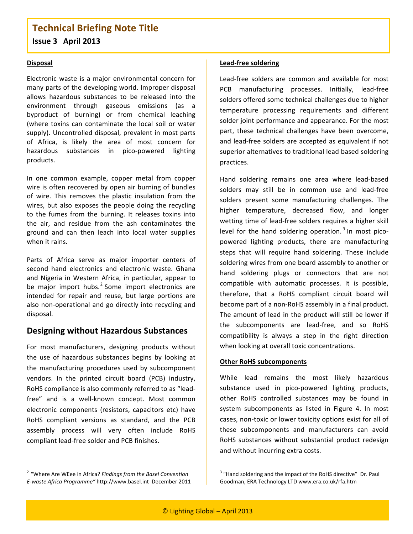### **Technical
Briefing
Note
Title Issue
3

April
2013**

#### **Disposal**

Electronic
 waste
 is
 a
major
environmental
 concern
 for many
parts
of
the
developing
world.
Improper
disposal allows hazardous substances to be released into the environment
 through
 gaseous
 emissions
 (as
 a byproduct
 of
 burning)
 or
 from
 chemical
 leaching (where
 toxins
 can
 contaminate
 the
 local
 soil
 or
 water supply).
Uncontrolled
disposal,
prevalent
in
most
parts of Africa, is likely the area of most concern for hazardous
 substances
 in pico‐powered
 lighting products.

In
 one
 common
 example,
 copper
 metal
 from
 copper wire is often recovered by open air burning of bundles of
 wire.
 This
 removes
 the
 plastic
 insulation
 from
 the wires, but also exposes the people doing the recycling to the fumes from the burning. It releases toxins into the
 air,
 and
 residue
 from
 the
 ash
 contaminates
 the ground
 and
 can
 then
 leach
 into
 local
 water
 supplies when it rains.

Parts of Africa serve as major importer centers of second hand electronics and electronic waste. Ghana and Nigeria in Western Africa, in particular, appear to be major import hubs.<sup>2</sup> Some import electronics are intended for repair and reuse, but large portions are also non-operational and go directly into recycling and disposal.

### **Designing
without
Hazardous
Substances**

For
 most
 manufacturers,
 designing
 products
 without the use
 of
 hazardous
 substances
 begins
 by
 looking
 at the
manufacturing
 procedures
 used
 by
 subcomponent vendors.
 In
 the
 printed
 circuit
 board
 (PCB)
 industry, RoHS compliance is also commonly referred to as "leadfree" and is a well-known concept. Most common electronic
 components
 (resistors,
 capacitors
 etc)
 have RoHS compliant versions as standard, and the PCB assembly
 process
 will
 very
 often
 include
 RoHS compliant
lead‐free
solder
and
PCB
finishes.

#### **Lead‐free
soldering**

Lead-free solders are common and available for most PCB
 manufacturing
 processes.
 Initially,
 lead‐free solders
offered
some
technical
challenges
due
to
higher temperature processing requirements and different solder
joint
performance
and
appearance.
For
the
most part,
 these
 technical
 challenges
 have
 been
 overcome, and
lead‐free
solders
are
accepted
as
equivalent
if
not superior alternatives to traditional lead based soldering practices.

Hand
 soldering
 remains
 one
 area
 where
 lead‐based solders may still be in common use and lead-free solders present some manufacturing challenges. The higher
 temperature,
 decreased
 flow,
 and
 longer wetting time of lead-free solders requires a higher skill level for the hand soldering operation.<sup>3</sup> In most picopowered lighting products, there are manufacturing steps that will require hand soldering. These include soldering
wires
from
one
board
assembly
to
another
or hand soldering plugs or connectors that are not compatible
 with
 automatic
 processes.
 It
 is
 possible, therefore,
 that
 a
 RoHS
 compliant
 circuit
 board
 will become part of a non-RoHS assembly in a final product. The amount of lead in the product will still be lower if the
 subcomponents
 are
 lead‐free,
 and
 so
 RoHS compatibility is always a step in the right direction when looking at overall toxic concentrations.

#### **Other
RoHS
subcomponents**

While lead remains the most likely hazardous substance
 used
 in pico‐powered
 lighting
 products, other
 RoHS
 controlled
 substances
 may
 be
 found
 in system subcomponents as listed in Figure 4. In most cases, non-toxic or lower toxicity options exist for all of these
 subcomponents
 and
 manufacturers
 can
 avoid RoHS substances without substantial product redesign and
without
incurring
extra
costs.

 <sup>2</sup> "Where
Are
WEee
in
Africa? *Findings
from
the
Basel
Convention E‐waste
Africa
Programme"* http://www.basel.int

December
2011

and soldering and the impact of the RoHS directive" Dr. Paul<br>and soldering and the impact of the RoHS directive" Dr. Paul Goodman,
ERA
Technology
LTD
www.era.co.uk/rfa.htm